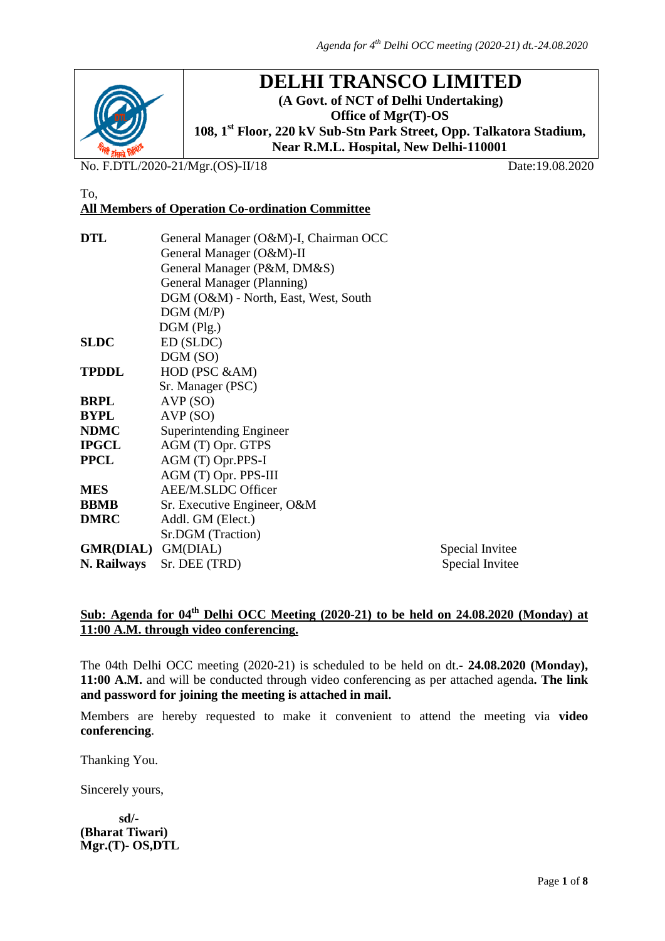

## **DELHI TRANSCO LIMITED**

**(A Govt. of NCT of Delhi Undertaking) Office of Mgr(T)-OS 108, 1st Floor, 220 kV Sub-Stn Park Street, Opp. Talkatora Stadium, Near R.M.L. Hospital, New Delhi-110001**

No. F.DTL/2020-21/Mgr.(OS)-II/18 Date:19.08.2020

#### To, **All Members of Operation Co-ordination Committee**

| <b>DTL</b>                | General Manager (O&M)-I, Chairman OCC |  |  |  |  |
|---------------------------|---------------------------------------|--|--|--|--|
|                           | General Manager (O&M)-II              |  |  |  |  |
|                           | General Manager (P&M, DM&S)           |  |  |  |  |
|                           | General Manager (Planning)            |  |  |  |  |
|                           | DGM (O&M) - North, East, West, South  |  |  |  |  |
|                           | DGM(M/P)                              |  |  |  |  |
|                           | $DGM$ (Plg.)                          |  |  |  |  |
| <b>SLDC</b>               | ED (SLDC)                             |  |  |  |  |
|                           | DGM (SO)                              |  |  |  |  |
| <b>TPDDL</b>              | HOD (PSC &AM)                         |  |  |  |  |
|                           | Sr. Manager (PSC)                     |  |  |  |  |
| <b>BRPL</b>               | AVP(SO)                               |  |  |  |  |
| <b>BYPL</b>               | AVP(SO)                               |  |  |  |  |
| <b>NDMC</b>               | Superintending Engineer               |  |  |  |  |
| <b>IPGCL</b>              | AGM (T) Opr. GTPS                     |  |  |  |  |
| <b>PPCL</b>               | AGM (T) Opr.PPS-I                     |  |  |  |  |
|                           | AGM (T) Opr. PPS-III                  |  |  |  |  |
| <b>MES</b>                | AEE/M.SLDC Officer                    |  |  |  |  |
| <b>BBMB</b>               | Sr. Executive Engineer, O&M           |  |  |  |  |
| <b>DMRC</b>               | Addl. GM (Elect.)                     |  |  |  |  |
|                           | Sr.DGM (Traction)                     |  |  |  |  |
| <b>GMR(DIAL)</b> GM(DIAL) | Special Invitee                       |  |  |  |  |
| N. Railways               | Sr. DEE (TRD)<br>Special Invitee      |  |  |  |  |

## Sub: Agenda for 04<sup>th</sup> Delhi OCC Meeting (2020-21) to be held on 24.08.2020 (Monday) at **11:00 A.M. through video conferencing.**

The 04th Delhi OCC meeting (2020-21) is scheduled to be held on dt.- **24.08.2020 (Monday), 11:00 A.M.** and will be conducted through video conferencing as per attached agenda**. The link and password for joining the meeting is attached in mail.**

Members are hereby requested to make it convenient to attend the meeting via **video conferencing**.

Thanking You.

Sincerely yours,

 **sd/- (Bharat Tiwari) Mgr.(T)- OS,DTL**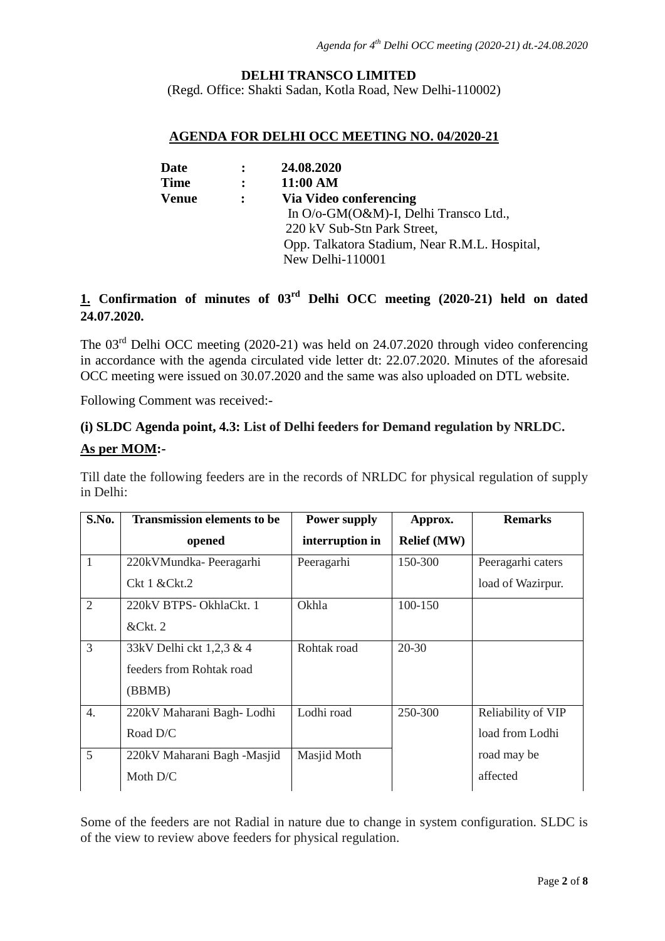#### **DELHI TRANSCO LIMITED**

(Regd. Office: Shakti Sadan, Kotla Road, New Delhi-110002)

#### **AGENDA FOR DELHI OCC MEETING NO. 04/2020-21**

| Date        |                | 24.08.2020                                    |
|-------------|----------------|-----------------------------------------------|
| <b>Time</b> | $\ddot{\cdot}$ | 11:00 AM                                      |
| Venue       |                | Via Video conferencing                        |
|             |                | In O/o-GM(O&M)-I, Delhi Transco Ltd.,         |
|             |                | 220 kV Sub-Stn Park Street,                   |
|             |                | Opp. Talkatora Stadium, Near R.M.L. Hospital, |
|             |                | New Delhi-110001                              |

## **1. Confirmation of minutes of 03rd Delhi OCC meeting (2020-21) held on dated 24.07.2020.**

The  $03<sup>rd</sup>$  Delhi OCC meeting (2020-21) was held on 24.07.2020 through video conferencing in accordance with the agenda circulated vide letter dt: 22.07.2020. Minutes of the aforesaid OCC meeting were issued on 30.07.2020 and the same was also uploaded on DTL website.

Following Comment was received:-

# **(i) SLDC Agenda point, 4.3: List of Delhi feeders for Demand regulation by NRLDC.**

#### **As per MOM:-**

Till date the following feeders are in the records of NRLDC for physical regulation of supply in Delhi:

| S.No.            | <b>Transmission elements to be</b> | <b>Power supply</b> | Approx.            | <b>Remarks</b>     |
|------------------|------------------------------------|---------------------|--------------------|--------------------|
|                  | opened                             | interruption in     | <b>Relief</b> (MW) |                    |
| 1                | 220kVMundka-Peeragarhi             | Peeragarhi          | 150-300            | Peeragarhi caters  |
|                  | $Ckt1$ & $Ckt.2$                   |                     |                    | load of Wazirpur.  |
| $\overline{2}$   | 220kV BTPS- OkhlaCkt. 1            | Okhla               | 100-150            |                    |
|                  | &Ckt.2                             |                     |                    |                    |
| 3                | 33kV Delhi ckt 1,2,3 & 4           | Rohtak road         | $20 - 30$          |                    |
|                  | feeders from Rohtak road           |                     |                    |                    |
|                  | (BBMB)                             |                     |                    |                    |
| $\overline{4}$ . | 220kV Maharani Bagh-Lodhi          | Lodhi road          | 250-300            | Reliability of VIP |
|                  | Road D/C                           |                     |                    | load from Lodhi    |
| 5                | 220kV Maharani Bagh -Masjid        | Masjid Moth         |                    | road may be        |
|                  | Moth D/C                           |                     |                    | affected           |

Some of the feeders are not Radial in nature due to change in system configuration. SLDC is of the view to review above feeders for physical regulation.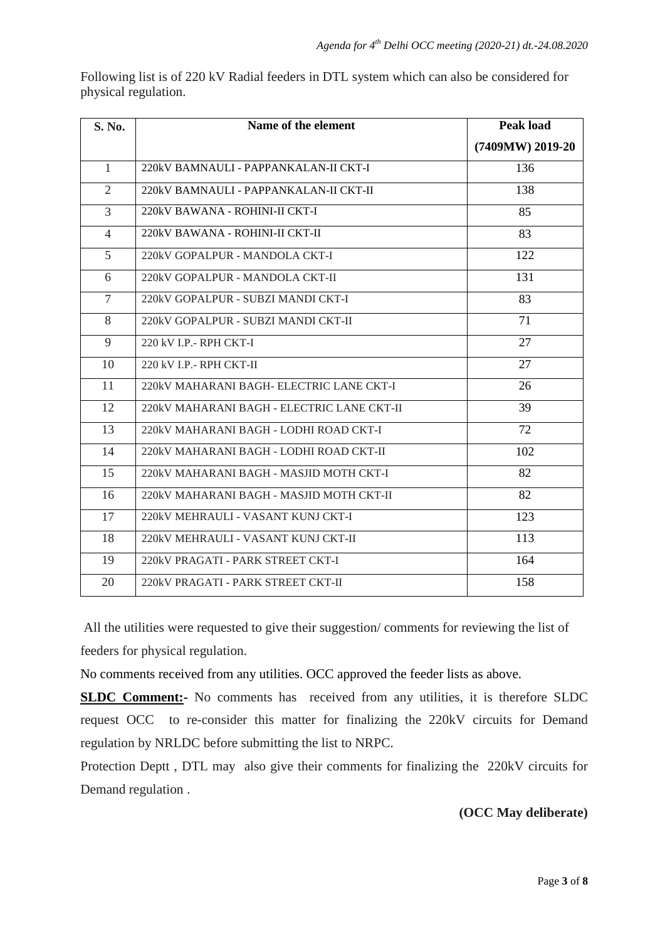Following list is of 220 kV Radial feeders in DTL system which can also be considered for physical regulation.

| S. No.         | Name of the element                        | <b>Peak load</b> |
|----------------|--------------------------------------------|------------------|
|                |                                            | (7409MW) 2019-20 |
| $\mathbf{1}$   | 220kV BAMNAULI - PAPPANKALAN-II CKT-I      | 136              |
| 2              | 220kV BAMNAULI - PAPPANKALAN-II CKT-II     | 138              |
| 3              | 220kV BAWANA - ROHINI-II CKT-I             | 85               |
| $\overline{4}$ | 220kV BAWANA - ROHINI-II CKT-II            | 83               |
| 5              | 220kV GOPALPUR - MANDOLA CKT-I             | 122              |
| 6              | 220kV GOPALPUR - MANDOLA CKT-II            | 131              |
| $\overline{7}$ | 220kV GOPALPUR - SUBZI MANDI CKT-I         | 83               |
| 8              | 220kV GOPALPUR - SUBZI MANDI CKT-II        | 71               |
| 9              | 220 kV I.P.- RPH CKT-I                     | 27               |
| 10             | 220 kV I.P.- RPH CKT-II                    | 27               |
| 11             | 220kV MAHARANI BAGH- ELECTRIC LANE CKT-I   | 26               |
| 12             | 220kV MAHARANI BAGH - ELECTRIC LANE CKT-II | 39               |
| 13             | 220kV MAHARANI BAGH - LODHI ROAD CKT-I     | 72               |
| 14             | 220kV MAHARANI BAGH - LODHI ROAD CKT-II    | 102              |
| 15             | 220kV MAHARANI BAGH - MASJID MOTH CKT-I    | 82               |
| 16             | 220kV MAHARANI BAGH - MASJID MOTH CKT-II   | 82               |
| 17             | 220kV MEHRAULI - VASANT KUNJ CKT-I         | 123              |
| 18             | 220kV MEHRAULI - VASANT KUNJ CKT-II        | 113              |
| 19             | 220kV PRAGATI - PARK STREET CKT-I          | 164              |
| 20             | 220kV PRAGATI - PARK STREET CKT-II         | 158              |

All the utilities were requested to give their suggestion/ comments for reviewing the list of feeders for physical regulation.

No comments received from any utilities. OCC approved the feeder lists as above.

**SLDC Comment:-** No comments has received from any utilities, it is therefore SLDC request OCC to re-consider this matter for finalizing the 220kV circuits for Demand regulation by NRLDC before submitting the list to NRPC.

Protection Deptt , DTL may also give their comments for finalizing the 220kV circuits for Demand regulation .

#### **(OCC May deliberate)**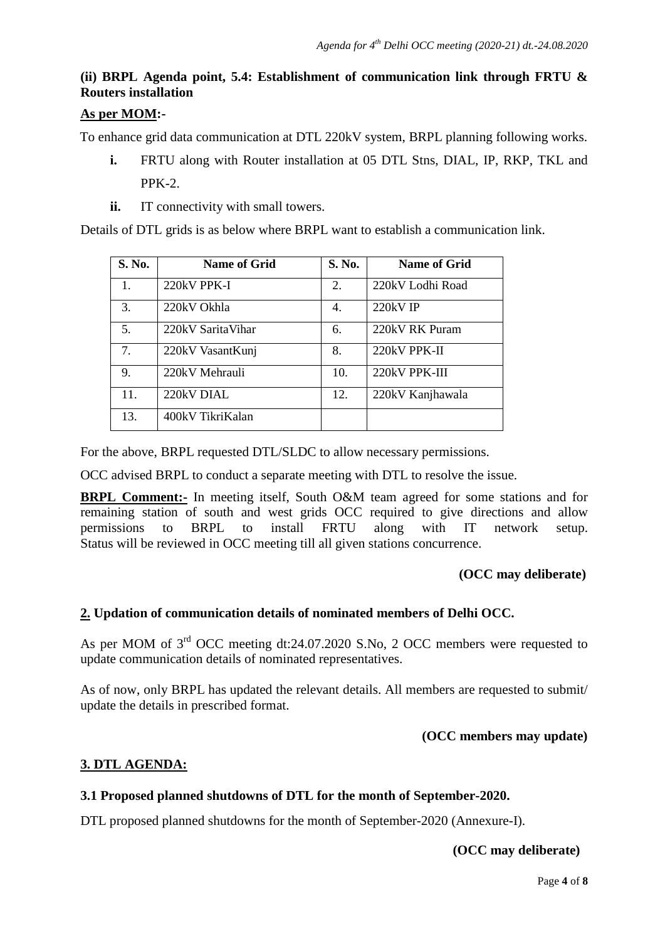## **(ii) BRPL Agenda point, 5.4: Establishment of communication link through FRTU & Routers installation**

#### **As per MOM :-**

To enhance grid data communication at DTL 220kV system, BRPL planning following works.

- **i.** FRTU along with Router installation at 05 DTL Stns, DIAL, IP, RKP, TKL and PPK-2.
- **ii.** IT connectivity with small towers.

Details of DTL grids is as below where BRPL want to establish a communication link.

| S. No. | <b>Name of Grid</b> | S. No. | <b>Name of Grid</b> |
|--------|---------------------|--------|---------------------|
| 1.     | 220kV PPK-I         | 2.     | 220kV Lodhi Road    |
| 3.     | 220kV Okhla         | 4.     | 220kV IP            |
| 5.     | 220kV SaritaVihar   | 6.     | 220kV RK Puram      |
| 7.     | 220kV VasantKunj    | 8.     | 220kV PPK-II        |
| 9.     | 220kV Mehrauli      | 10.    | 220kV PPK-III       |
| 11.    | 220kV DIAL          | 12.    | 220kV Kanjhawala    |
| 13.    | 400kV TikriKalan    |        |                     |

For the above, BRPL requested DTL/SLDC to allow necessary permissions.

OCC advised BRPL to conduct a separate meeting with DTL to resolve the issue.

**BRPL Comment:-** In meeting itself, South O&M team agreed for some stations and for remaining station of south and west grids OCC required to give directions and allow permissions to BRPL to install FRTU along with IT network setup. Status will be reviewed in OCC meeting till all given stations concurrence.

#### **(OCC may deliberate)**

#### **2. Updation of communication details of nominated members of Delhi OCC.**

As per MOM of 3<sup>rd</sup> OCC meeting dt:24.07.2020 S.No, 2 OCC members were requested to update communication details of nominated representatives.

As of now, only BRPL has updated the relevant details. All members are requested to submit/ update the details in prescribed format.

#### **(OCC members may update)**

#### **3. DTL AGENDA:**

#### **3.1 Proposed planned shutdowns of DTL for the month of September-2020.**

DTL proposed planned shutdowns for the month of September-2020 (Annexure-I).

 **(OCC may deliberate)**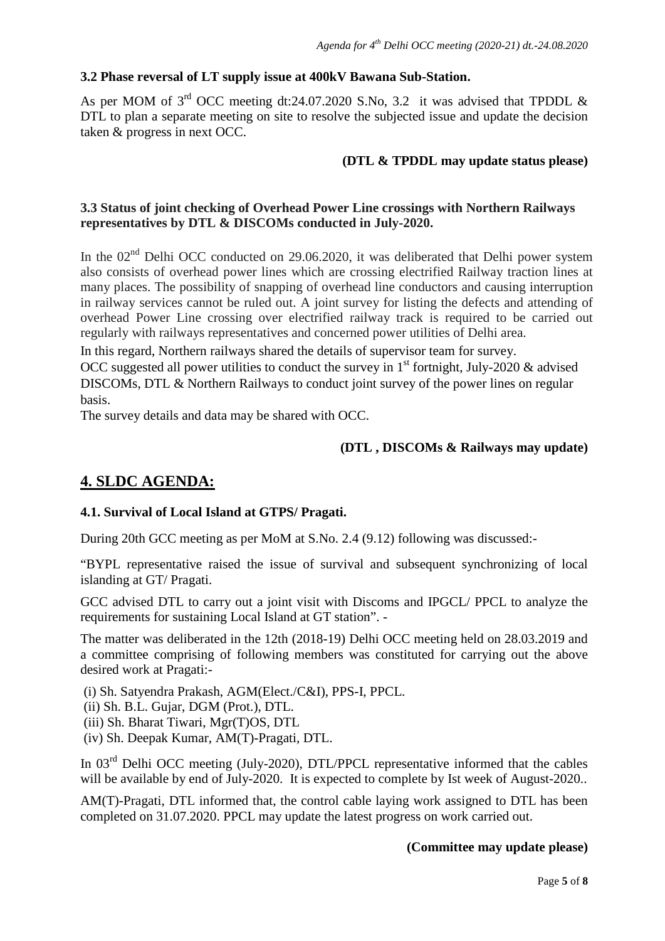#### **3.2 Phase reversal of LT supply issue at 400kV Bawana Sub-Station.**

As per MOM of  $3<sup>rd</sup>$  OCC meeting dt:24.07.2020 S.No, 3.2 it was advised that TPDDL & DTL to plan a separate meeting on site to resolve the subjected issue and update the decision taken & progress in next OCC.

#### **(DTL & TPDDL may update status please)**

#### **3.3 Status of joint checking of Overhead Power Line crossings with Northern Railways representatives by DTL & DISCOMs conducted in July-2020.**

In the  $02<sup>nd</sup>$  Delhi OCC conducted on 29.06.2020, it was deliberated that Delhi power system also consists of overhead power lines which are crossing electrified Railway traction lines at many places. The possibility of snapping of overhead line conductors and causing interruption in railway services cannot be ruled out. A joint survey for listing the defects and attending of overhead Power Line crossing over electrified railway track is required to be carried out regularly with railways representatives and concerned power utilities of Delhi area.

In this regard, Northern railways shared the details of supervisor team for survey.

OCC suggested all power utilities to conduct the survey in  $1<sup>st</sup>$  fortnight, July-2020 & advised DISCOMs, DTL & Northern Railways to conduct joint survey of the power lines on regular basis.

The survey details and data may be shared with OCC.

#### **(DTL , DISCOMs & Railways may update)**

### **4. SLDC AGENDA:**

#### **4.1. Survival of Local Island at GTPS/ Pragati.**

During 20th GCC meeting as per MoM at S.No. 2.4 (9.12) following was discussed:-

"BYPL representative raised the issue of survival and subsequent synchronizing of local islanding at GT/ Pragati.

GCC advised DTL to carry out a joint visit with Discoms and IPGCL/ PPCL to analyze the requirements for sustaining Local Island at GT station". -

The matter was deliberated in the 12th (2018-19) Delhi OCC meeting held on 28.03.2019 and a committee comprising of following members was constituted for carrying out the above desired work at Pragati:-

(i) Sh. Satyendra Prakash, AGM(Elect./C&I), PPS-I, PPCL.

(ii) Sh. B.L. Gujar, DGM (Prot.), DTL.

(iii) Sh. Bharat Tiwari, Mgr(T)OS, DTL

(iv) Sh. Deepak Kumar, AM(T)-Pragati, DTL.

In 03<sup>rd</sup> Delhi OCC meeting (July-2020), DTL/PPCL representative informed that the cables will be available by end of July-2020. It is expected to complete by Ist week of August-2020..

AM(T)-Pragati, DTL informed that, the control cable laying work assigned to DTL has been completed on 31.07.2020. PPCL may update the latest progress on work carried out.

#### **(Committee may update please)**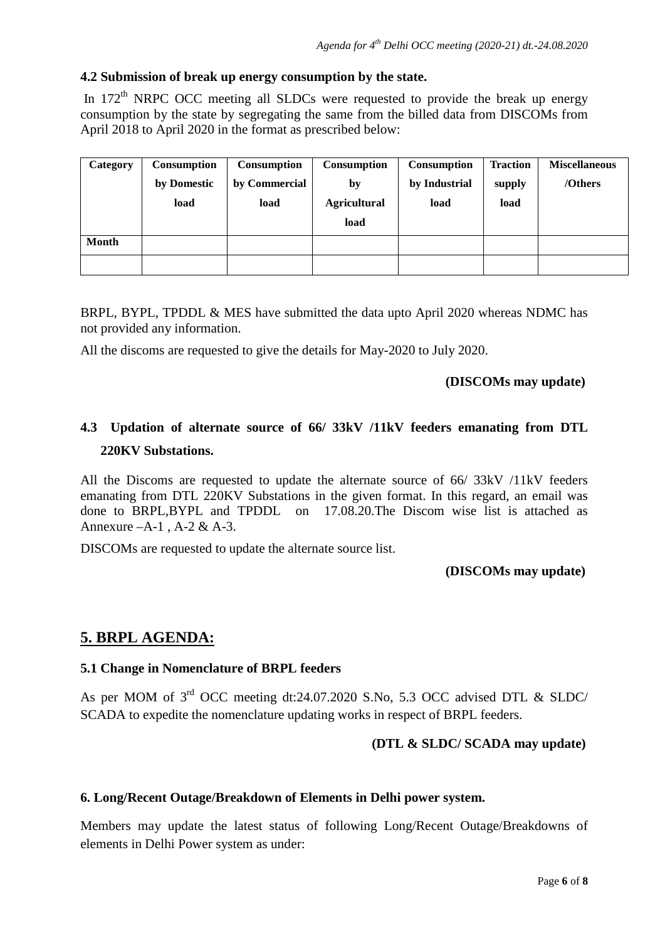#### **4.2 Submission of break up energy consumption by the state.**

In  $172<sup>th</sup>$  NRPC OCC meeting all SLDCs were requested to provide the break up energy consumption by the state by segregating the same from the billed data from DISCOMs from April 2018 to April 2020 in the format as prescribed below:

| Category     | <b>Consumption</b> | Consumption   | Consumption         | <b>Consumption</b> | <b>Traction</b> | <b>Miscellaneous</b> |
|--------------|--------------------|---------------|---------------------|--------------------|-----------------|----------------------|
|              | by Domestic        | by Commercial | by                  | by Industrial      | supply          | /Others              |
|              | load               | load          | <b>Agricultural</b> | load               | load            |                      |
|              |                    |               | load                |                    |                 |                      |
| <b>Month</b> |                    |               |                     |                    |                 |                      |
|              |                    |               |                     |                    |                 |                      |

BRPL, BYPL, TPDDL & MES have submitted the data upto April 2020 whereas NDMC has not provided any information.

All the discoms are requested to give the details for May-2020 to July 2020.

#### **(DISCOMs may update)**

## **4.3 Updation of alternate source of 66/ 33kV /11kV feeders emanating from DTL 220KV Substations.**

All the Discoms are requested to update the alternate source of 66/ 33kV /11kV feeders emanating from DTL 220KV Substations in the given format. In this regard, an email was done to BRPL,BYPL and TPDDL on 17.08.20.The Discom wise list is attached as Annexure –A-1 , A-2 & A-3.

DISCOMs are requested to update the alternate source list.

#### **(DISCOMs may update)**

## **5. BRPL AGENDA:**

#### **5.1 Change in Nomenclature of BRPL feeders**

As per MOM of 3rd OCC meeting dt:24.07.2020 S.No, 5.3 OCC advised DTL & SLDC/ SCADA to expedite the nomenclature updating works in respect of BRPL feeders.

#### **(DTL & SLDC/ SCADA may update)**

#### **6. Long/Recent Outage/Breakdown of Elements in Delhi power system.**

Members may update the latest status of following Long/Recent Outage/Breakdowns of elements in Delhi Power system as under: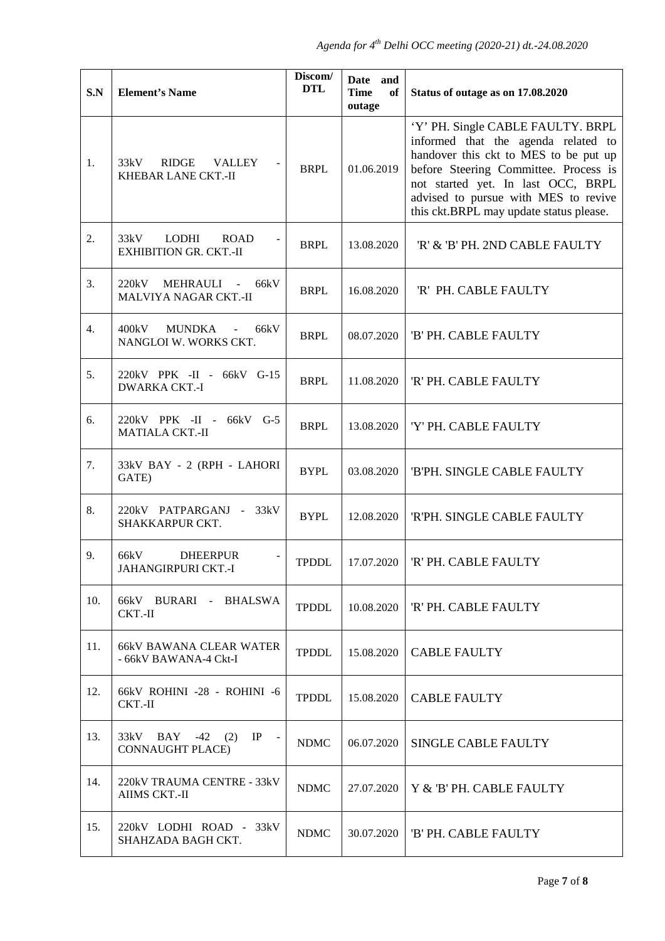| S.N | <b>Element's Name</b>                                                     | Discom/<br><b>DTL</b> | Date and<br><b>Time</b><br>оf<br>outage | Status of outage as on 17.08.2020                                                                                                                                                                                                                                                   |
|-----|---------------------------------------------------------------------------|-----------------------|-----------------------------------------|-------------------------------------------------------------------------------------------------------------------------------------------------------------------------------------------------------------------------------------------------------------------------------------|
| 1.  | 33kV<br>RIDGE<br>VALLEY<br>KHEBAR LANE CKT.-II                            | <b>BRPL</b>           | 01.06.2019                              | 'Y' PH. Single CABLE FAULTY. BRPL<br>informed that the agenda related to<br>handover this ckt to MES to be put up<br>before Steering Committee. Process is<br>not started yet. In last OCC, BRPL<br>advised to pursue with MES to revive<br>this ckt.BRPL may update status please. |
| 2.  | 33kV<br>LODHI<br><b>ROAD</b><br><b>EXHIBITION GR. CKT.-II</b>             | <b>BRPL</b>           | 13.08.2020                              | 'R' & 'B' PH. 2ND CABLE FAULTY                                                                                                                                                                                                                                                      |
| 3.  | 220kV MEHRAULI -<br>66kV<br>MALVIYA NAGAR CKT.-II                         | <b>BRPL</b>           | 16.08.2020                              | 'R' PH. CABLE FAULTY                                                                                                                                                                                                                                                                |
| 4.  | 400kV<br><b>MUNDKA</b><br>66kV<br>$\blacksquare$<br>NANGLOI W. WORKS CKT. | <b>BRPL</b>           | 08.07.2020                              | 'B' PH. CABLE FAULTY                                                                                                                                                                                                                                                                |
| 5.  | 220kV PPK -II - 66kV G-15<br><b>DWARKA CKT.-I</b>                         | <b>BRPL</b>           | 11.08.2020                              | 'R' PH. CABLE FAULTY                                                                                                                                                                                                                                                                |
| 6.  | 220kV PPK -II - 66kV G-5<br><b>MATIALA CKT.-II</b>                        | <b>BRPL</b>           | 13.08.2020                              | 'Y' PH. CABLE FAULTY                                                                                                                                                                                                                                                                |
| 7.  | 33kV BAY - 2 (RPH - LAHORI<br>GATE)                                       | <b>BYPL</b>           | 03.08.2020                              | 'B'PH. SINGLE CABLE FAULTY                                                                                                                                                                                                                                                          |
| 8.  | 220kV PATPARGANJ - 33kV<br>SHAKKARPUR CKT.                                | <b>BYPL</b>           | 12.08.2020                              | 'R'PH. SINGLE CABLE FAULTY                                                                                                                                                                                                                                                          |
| 9.  | 66kV<br><b>DHEERPUR</b><br>JAHANGIRPURI CKT.-I                            | <b>TPDDL</b>          | 17.07.2020                              | 'R' PH. CABLE FAULTY                                                                                                                                                                                                                                                                |
| 10. | 66kV BURARI - BHALSWA<br>CKT.-II                                          | <b>TPDDL</b>          | 10.08.2020                              | 'R' PH. CABLE FAULTY                                                                                                                                                                                                                                                                |
| 11. | <b>66kV BAWANA CLEAR WATER</b><br>- 66kV BAWANA-4 Ckt-I                   | <b>TPDDL</b>          | 15.08.2020                              | <b>CABLE FAULTY</b>                                                                                                                                                                                                                                                                 |
| 12. | 66kV ROHINI -28 - ROHINI -6<br>CKT.-II                                    | <b>TPDDL</b>          | 15.08.2020                              | <b>CABLE FAULTY</b>                                                                                                                                                                                                                                                                 |
| 13. | 33kV BAY -42 (2)<br>IP<br>$\sim$ $-$<br><b>CONNAUGHT PLACE)</b>           | <b>NDMC</b>           | 06.07.2020                              | <b>SINGLE CABLE FAULTY</b>                                                                                                                                                                                                                                                          |
| 14. | 220kV TRAUMA CENTRE - 33kV<br>AIIMS CKT.-II                               | <b>NDMC</b>           | 27.07.2020                              | Y & 'B' PH. CABLE FAULTY                                                                                                                                                                                                                                                            |
| 15. | 220kV LODHI ROAD - 33kV<br>SHAHZADA BAGH CKT.                             | <b>NDMC</b>           | 30.07.2020                              | 'B' PH. CABLE FAULTY                                                                                                                                                                                                                                                                |